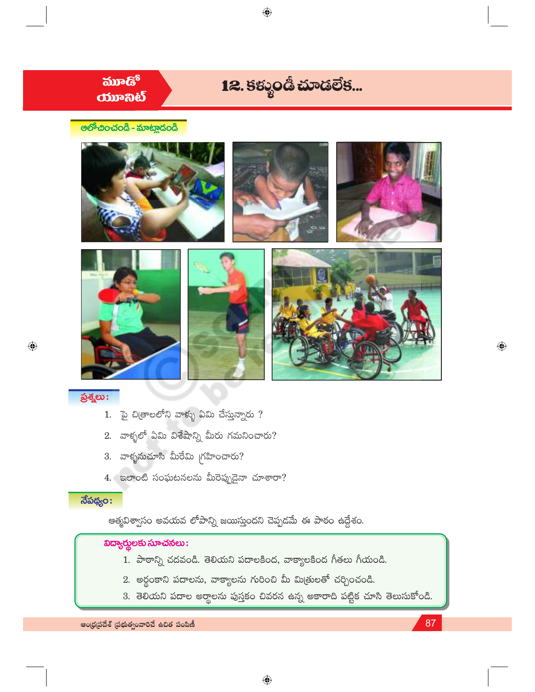

 $\bigoplus$ 

## $\delta$ శ్నలు:

- 1.  $\bar{p}$  చి(తాలలోని వాళ్ళు ఏమి చేస్తున్నారు ?
- 2. వాళ్ళలో ఏమి విశేషాన్ని మీరు గమనించారు?
- 3. వాళ్ళనుచూసి మీరేమి గ్రహించారు?
- 4. ఇలాంటి సంఘటనలను మీరెప్పుడైనా చూశారా?

### $\overline{\delta}$ పథ్యం:

ఆత్మవిశ్వాసం అవయవ లోపాన్ని జయిస్తుందని చెప్పడమే ఈ పాఠం ఉద్దేశం.

# $\overline{\text{log}}$ ర్మలకు సూచనలు:

- 1. పాఠాన్ని చదవండి. తెలియని పదాలకింద, వాక్యాలకింద గీతలు గీయండి.
- 2. అర్థంకాని పదాలను, వాక్యాలను గురించి మీ మిత్రులతో చర్చించండి.
- 3. తెలియని పదాల అర్థాలను పుస్తకం చివరన ఉన్న అకారాది పట్టిక చూసి తెలుసుకోండి.

 $\bigoplus$ 

87

ఆంధ్రప్రదేశ్ (పభుత్వంవారిచే ఉచిత పంపిణీ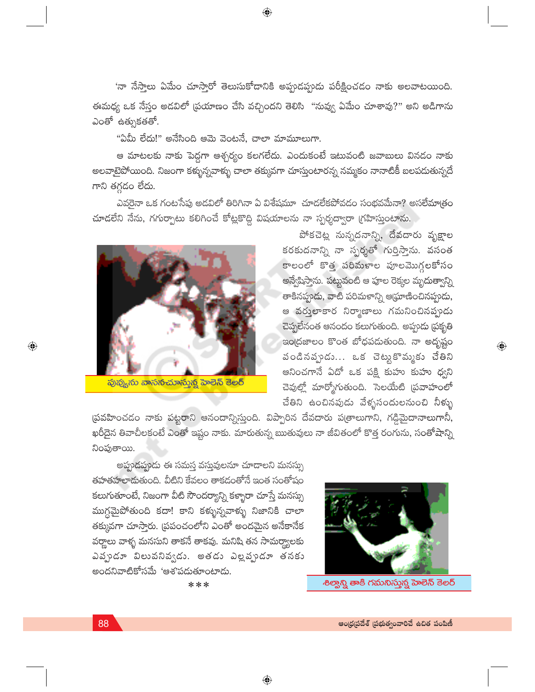'నా నేస్తాలు ఏమేం చూస్తారో తెలుసుకోడానికి అప్పుడప్పుడు పరీక్షించడం నాకు అలవాటయింది. ఈమధ్య ఒక నేస్తం అడవిలో (పయాణం చేసి వచ్చిందని తెలిసి "నువ్వు ఏమేం చూశావు?" అని అడిగాను ఎంతో ఉత్సుకతతో.

 $\bigoplus$ 

"ఏమీ లేదు!" అనేసింది ఆమె వెంటనే, చాలా మామూలుగా.

ఆ మాటలకు నాకు పెద్దగా ఆశ్చర్యం కలగలేదు. ఎందుకంటే ఇటువంటి జవాబులు వినడం నాకు అలవాటైపోయింది. నిజంగా కళ్ళున్నవాళ్ళు చాలా తక్కువగా చూస్తుంటారన్న నమ్మకం నానాటికీ బలపదుతున్నదే గాని తగ్గడం లేదు.

ఎవరైనా ఒక గంటసేపు అడవిలో తిరిగినా ఏ విశేషమూ చూడలేకపోవడం సంభవమేనా? అసలేమాత్రం చూడలేని నేను, గగుర్పాటు కలిగించే కోట్లకొద్ది విషయాలను నా స్పర్శద్వారా (గహిస్తుంటాను.



<mark>పువ్య</mark>ును వాసనచూస్తున్న హెలెన్ కెలర్

పోకచెట్ల నున్నదనాన్ని, దేవదారు వృక్షాల కరకుదనాన్ని నా స్పర్శతో గుర్తిస్తాను. వసంత కాలంలో కొత్త పరిమళాల పూలమొగ్గలకోసం అన్వేషిస్తాను. పట్లువంటి ఆ పూల రెక్కల మృ<mark>దుత్వా</mark>న్ని తాకినప్పుడు, వాటి పరిమళాన్ని ఆస్రూణించినప్పుడు, ఆ వర్తులాకార నిర్మాణాలు గమనించినప్పుడు చెప్పలేనంత ఆనందం కలుగుతుంది. అప్పుడు ప్రకృతి ఇంద్రజాలం కొంత బోధపడుతుంది. నా అదృష్టం పండినప్పుడు... ఒక చెట్టుకొమ్మకు చేతిని ఆనించగానే ఏదో ఒక పక్షి కుహు కుహు <mark>ధ్వ</mark>ని చెవుల్లో మార్మోగుతుంది. సెలయేటి (పవాహంలో చేతిని ఉంచినపుడు వేళ్ళసందులనుంచి నీళ్ళు

 $\overline{\mathbb{Q}}$ 

స్రవహించడం నాకు పట్టరాని ఆనందాన్నిస్తుంది. విప్పారిన దేవదారు పఱ్రాలుగాని, గడ్డిమైదానాలుగానీ, ఖరీదైన తివాచీలకంటే ఎంతో ఇష్టం నాకు. మారుతున్న ఋతువులు నా జీవితంలో కొత్త రంగును, సంతోషాన్ని నింపుతాయి.

 $\bigoplus$ 

అప్పుడప్పుడు ఈ సమస్త వస్తువులనూ చూడాలని మనస్సు తహతహలాదుతుంది. వీటిని కేవలం తాకడంతోనే ఇంత సంతోషం కలుగుతూంటే, నిజంగా వీటి సౌందర్యాన్ని కళ్ళారా చూస్తే మనస్సు ముగ్దమైపోతుంది కదా! కాని కళ్ళున్నవాళ్ళు నిజానిక<mark>ి</mark> చాలా తక్కువగా చూస్తారు. (పపంచంలోని ఎంతో అందమైన అనేకానేక వర్ణాలు వాళ్ళ మనసుని తాకనే తాకవు. మనిషి తన సామ<mark>ర్థ్యా</mark>లకు ఎప్పుడూ విలువనివ్వడు. అతడు ఎల్లవ్పుడూ తనకు అందనివాటికోసమే 'ఆశ'పడుతూంటాడు.



శిల్యాన్ని తాకి గమనిస్తున్న హెలెన్ కెలర్

 $\textcolor{black}{\textcolor{black}{\bigcirc}}$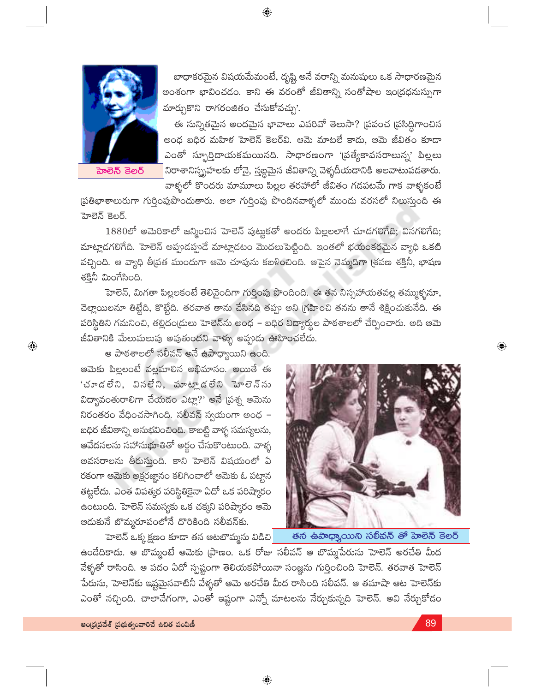

హెలెన్ కెలర్

 $\bigoplus$ 

బాధాకరమైన విషయమేమంటే, దృష్టి అనే వరాన్ని మనుషులు ఒక సాధారణమైన అంశంగా భావించడం. కాని ఈ వరంతో జీవితాన్ని సంతోషాల ఇంద్రధనుస్సుగా మార్చుకొని రాగరంజితం చేసుకోవచ్చు'.

ఈ సున్నితమైన అందమైన భావాలు ఎవరివో తెలుసా? (పపంచ (పసిద్ధిగాంచిన అంధ బధిర మహిళ హెలెన్ కెలర్వి. ఆమె మాటలే కాదు, ఆమె జీవితం కూడా ఎంతో స్ఫూర్తిదాయకమయినది. సాధారణంగా '(ప్రత్యేకావసరాలున్న' పిల్లలు నిరాశానిస్మృహలకు లోనై, స్తబ్ధమైన జీవితాన్ని వెళ్ళదీయడానికి అలవాటుపడతారు. .<br>వాళ్ళలో కొందరు మామూలు పిల్లల తరహాలో జీవితం గడపటమే గాక వాళ్ళకంటే

ప్రతిభాశాలురుగా గుర్తింపుపొందుతారు. అలా గుర్తింపు పొందినవాళ్ళలో ముందు వరసలో నిలుస్తుంది ఈ హెలెన్ కెలర్.

 $\bigoplus$ 

 $1880$ లో అమెరికాలో జన్మించిన హెలెన్ పుట్టుకతో అందరు పిల్లలలాగే చూడగలిగేది; వినగలిగేది; మాట్లాడగలిగేది. హెలెన్ అప్పుడప్పుడే మాట్లాడటం మొదలుపెట్టింది. ఇంతలో భయంకరమైన వ్యాధి ఒకటి వచ్చింది. ఆ వ్యాధి తీ[వత ముందుగా ఆమె చూపును కబళించింది. ఆపైన నెమ్మదిగా (శవణ శక్తినీ, భాషణ శక్తినీ మింగేసింది.

హెలెన్, మిగతా పిల్లలకంటే తెలివైందిగా గుర్తింపు పొందింది. ఈ తన నిస్సహాయతవల్ల తమ్ముళ్ళనూ, చెల్లాయిలనూ తిట్టేది, కొట్టేది. తరవాత తాను చేసినది తప్పు అని గ్రహించి తనను తానే శిక్షించుకునేది. ఈ పరిస్థితిని గమనించి, తల్లిదం(దులు హెలెన్ను అంధ – బధిర విద్యార్యల పాఠశాలలో చేర్పించారు. అది ఆమె జీవితానికి మేలుమలుపు అవుతుందని వాళ్ళు అప్పుడు ఊహించలేదు.

ఆ పాఠశాలలో సలీవన్ అనే ఉపాధ్యాయిని ఉంది. ఆమెకు పిల్లలంటే వల్లమాలిన అభిమానం. అయితే ఈ 'చూడలేని, వినలేని, మాట్లాడలేని హెలెన్ను విద్యావంతురాలిగా చేయడం ఎట్లా?' అనే (పశ్న ఆమెను నిరంతరం వేధించసాగింది. సలీవన్ స్వయంగా అంధ $\,$  – బధిర జీవితాన్ని అనుభవించింది. కాబట్టి వాళ్ళ సమస్యలను, ఆవేదనలను సహాను<mark>భూ</mark>తితో అర్థం చేసుకొంటుంది. వాళ్ళ అవసరాలను తీరుస్తుంది. కాని హెలెన్ విషయంలో ఏ రకంగా ఆమెకు అక్షరజ్ఞానం కలిగించాలో ఆమెకు ఓ పట్టాన తట్టలేదు. ఎంత విపత్కర పరిస్థితికైనా ఏదో ఒక పరిష్కారం ఉంటుంది. హెలెన్ సమస్యకు ఒక చక్కని పరిష్కారం ఆమె ఆదుకునే బొమ్మరూపంలోనే దొరికింది సలీవన్కు.

హెలెన్ ఒక్కక్షణం కూడా తన ఆటబొమ్మను విడిచి<mark>]</mark>



తన ఉపాధ్యాయిని సలీవన్ తో హెలెన్ కెలర్

ఉండేదికాదు. ఆ బొమ్మంటే ఆమెకు (పాణం. ఒక రోజు సలీవన్ ఆ బొమ్మపేరును హెలెన్ అరచేతి మీద వేళ్ళతో రాసింది. ఆ పదం ఏదో స్పష్టంగా తెలియకపోయినా సంజ్ఞను గుర్తించింది హెలెన్. తరవాత హెలెన్ .<br>పేరును, హెలెన్కు ఇష్టమైనవాటినీ వేళ్ళతో ఆమె అరచేతి మీద రాసింది సలీవన్. ఆ తమాషా ఆట హెలెన్కు ఎంతో నచ్చింది. చాలావేగంగా, ఎంతో ఇష్టంగా ఎన్నో మాటలను నేర్చుకున్నది హెలెన్. అవి నేర్చుకోడం

 $\bigoplus$ 

ఆంధ్రప్రదేశ్ (పభుత్వంవారిచే ఉచిత పంపిణీ

 $\textcolor{black}{\textcolor{black}{\bigoplus}}$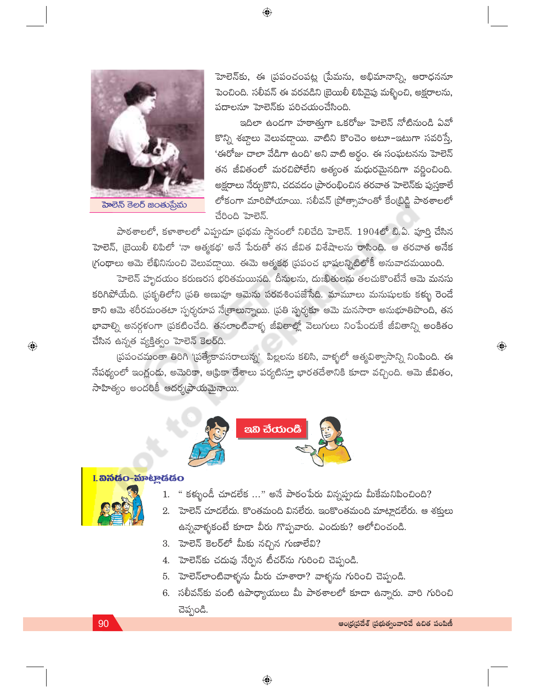

హెలెన్కు, ఈ (పపంచంపట్ల (పేమను, అభిమానాన్ని, ఆరాధననూ పెంచింది. సలీవన్ ఈ వరవడిని (బెయిలీ లిపివైపు మళ్ళించి, అక్షరాలను, పదాలనూ హెలెన్కు పరిచయంచేసింది.

ఇదిలా ఉండగా హఠాత్తుగా ఒకరోజు హెలెన్ నోటినుండి ఏవో కొన్ని శబ్దాలు వెలువద్దాయి. వాటిని కొంచెం అటూ–ఇటుగా సవరిస్తే, 'ఈరోజు చాలా వేడిగా ఉంది' అని వాటి అర్థం. ఈ సంఘటనను హెలెన్ తన జీవితంలో మరచిపోలేని అత్యంత మధురమైనదిగా వర్ణించింది. అక్షరాలు నేర్చుకొని, చదవడం (పారంభించిన తరవాత హెలెన్<mark>కు</mark> పుస్తకాలే లోకంగా మారిపోయాయి. సలీవన్ (పోత్సాహంతో కేం(భిడ్జి పాఠశాలలో చేరింది హెలెన్.

పాఠశాలలో, కళాశాలలో ఎప్పుడూ (పథమ స్థానంలో నిలిచేది హెలెన్. 1904లో బి.ఏ. పూర్తి చేసిన హెలెన్, బ్రెయిలీ లిపిలో 'నా ఆత్మకథ' అనే పేరుతో తన జీవిత విశేషాలను <mark>రాసింది.</mark> ఆ తరవాత అనేక గ్రంథాలు ఆమె లేఖినినుంచి వెలువద్దాయి. ఈమె ఆత్మకథ (పపంచ భాషలన్నిటిలోకీ అనువాదమయింది.

 $\bigoplus$ 

హెలెన్ హృదయం కరుణరస భరితమయినది. దీనులను, దుఃఖితులను తలచుకొంటేనే ఆమె మనసు కరిగిపోయేది. (పకృతిలోని (పతి అణువూ ఆమెను పరవశింపజేసేది. మామూలు మనుషులకు కళ్ళు రెండే కాని ఆమె శరీరమంతటా స్పర్శరూప నేఁతాలున్నాయి. (పతి స్పర్శకూ ఆమె మనసారా అనుభూతిపొంది, తన భావాల్ని అనర్గళంగా (పకటించేది. తనలాంటివాళ్ళ జీవితాల్లో వెలుగులు నింపేందుకే జీవితాన్ని అంకితం చేసిన ఉన్నత వ్యక్తిత్వం హెలెన్ కెలర్ది.

(పపంచమంతా తిరిగి '(పత్యేకావసరాలున్న' పిల్లలను కలిసి, వాళ్ళలో ఆత్మవిశ్వాసాన్ని నింపింది. ఈ నేపథ్యంలో ఇంగ్లండు, అమెరికా, ఆధ్రికా దేశాలు పర్యటిస్తూ భారతదేశానికి కూడా వచ్చింది. ఆమె జీవితం, సాహిత్యం అందరికీ ఆదర్శ(పాయమైనాయి.



## <mark>I. තීතියිං-ක</mark>ිමිද්දියිං



 $\bigoplus$ 

- " కళ్ళుండీ చూడలేక ..." అనే పాఠంపేరు విన్నప్పుడు మీకేమనిపించింది?  $1.$
- 2. హెలెన్ చూడలేదు. కొంతమంది వినలేరు. ఇంకొంతమంది మాట్లాడలేరు. ఆ శక్తులు ఉన్నవాళ్ళకంటే కూడా వీరు గొప్పవారు. ఎందుకు? ఆలోచించండి.
- 3. హెలెన్ కెలర్లో మీకు నచ్చిన గుణాలేవి?
- 4. హెలెన్కు చదువు నేర్పిన టీచర్ను గురించి చెప్పండి.
- 5. హెలెన్లాంటివాళ్ళను మీరు చూశారా? వాళ్ళను గురించి చెప్పండి.
- 6. సలీవన్కు వంటి ఉపాధ్యాయులు మీ పాఠశాలలో కూడా ఉన్నారు. వారి గురించి చెప్పండి.

#### 90

 $\textcolor{black}{\textcolor{black}{\bigoplus}}$ 

 $\bigoplus$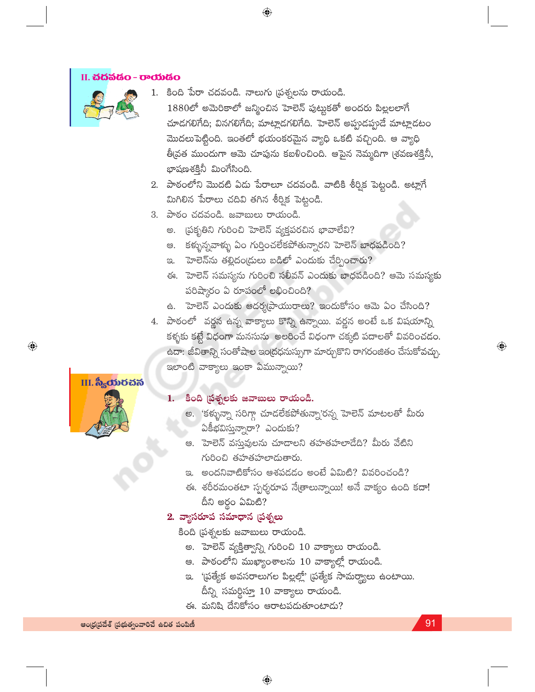#### II. <mark>చదవడం - రాయడం</mark>



- 1. కింది పేరా చదవండి. నాలుగు (పశ్నలను రాయండి.  $1880$ లో అమెరికాలో జన్మించిన హెలెన్ పుట్టుకతో అందరు పిల్లలలాగే చూడగలిగేది; వినగలిగేది; మాట్లాడగలిగేది. హెలెన్ అప్పుడప్పుడే మాట్లాడటం మొదలుపెట్టింది. ఇంతలో భయంకరమైన వ్యాధి ఒకటి వచ్చింది. ఆ వ్యాధి తీవ్రత ముందుగా ఆమె చూపును కబళించింది. ఆపైన నెమ్మదిగా (శవణశక్తినీ, భాషణశక్తినీ మింగేసింది.
- 2. పాఠంలోని మొదటి ఏడు పేరాలూ చదవండి. వాటికి శీర్విక పెట్టండి. అట్లాగే మిగిలిన పేరాలు చదివి తగిన శీర్విక పెట్టండి.
- 3. పాఠం చదవండి. జవాబులు రాయండి.
	- అ. (పకృతిని గురించి హెలెన్ వ్యక్తపరచిన భావాలేవి?

 $\bigoplus$ 

- ఆ. కళ్ళున్నవాళ్ళు ఏం గుర్తించలేకపోతున్నారని హెలెన్ బాధపడింది?
- ఇ. హెలెన్ను తల్లిదం(దులు బడిలో ఎందుకు చేర్పించారు?
- ఈ. హెలెన్ సమస్యను గురించి సలీవన్ ఎందుకు బాధపడింది? ఆమె సమస్యకు పరిష్కారం ఏ రూపంలో లభించింది?
- ఉ. హెలెన్ ఎందుకు ఆదర్శప్రాయురాలు? ఇందుకోసం ఆమె ఏం చేసింది?
- 4. పాఠంలో వర్ణన ఉన్న వాక్యాలు కొన్ని ఉన్నాయి. వర్ణన అంటే ఒక విషయాన్ని కళ్ళకు కట్టే విధంగా మనసును అలరించే విధంగా చక్కటి పదాలతో వివరించడం. ఉదా: జీవితాన్ని సంతోషాల ఇంద్రధనుస్సుగా మార్చుకొని రాగరంజితం చేసుకోవచ్చు. ఇలాంటి వాక్యాలు ఇంకా ఏమున్నాయి?

# III. ಸಿ<sub>ನ</sub>ಯರವನ

 $\bigoplus$ 

#### 1. కింది ప్రశ్నలకు జవాబులు రాయండి.

- అ. 'కళ్ళున్నా సరిగ్గా చూడలేకపోతున్నా'రన్న హెలెన్ మాటలతో మీరు ఏకీభవిస్తున్నారా? ఎందుకు?
- ఆ. `హెలెన్ వస్తువులను చూడాలని తహతహలాడేది? మీరు వేటిని గురించి తహతహలాదుతారు.
- ఇ. అందనివాటికోసం ఆశపడడం అంటే ఏమిటి? వివరించండి?
- ఈ. శరీరమంతటా స్పర్శరూప నే[తాలున్నాయి! అనే వాక్యం ఉంది కదా! దీని అర్థం ఏమిటి?

### 2. వ్యాసరూప సమాధాన (పశ్నలు

కింది (పశ్నలకు జవాబులు రాయండి.

- అ. హెలెన్ వ్యక్తిత్వాన్ని గురించి 10 వాక్యాలు రాయండి.
- ఆ. పాఠంలోని ముఖ్యాంశాలను 10 వాక్యాల్లో రాయండి.
- ఇ. '[పత్యేక అవసరాలుగల పిల్లల్లో' [పత్యేక సామర్థ్యాలు ఉంటాయి. దీన్ని సమర్థిస్తూ 10 వాక్యాలు రాయండి.
- ఈ. మనిషి దేనికోసం ఆరాటపడుతూంటాడు?

91

 $\textcolor{black}{\textcircled{\ell}}$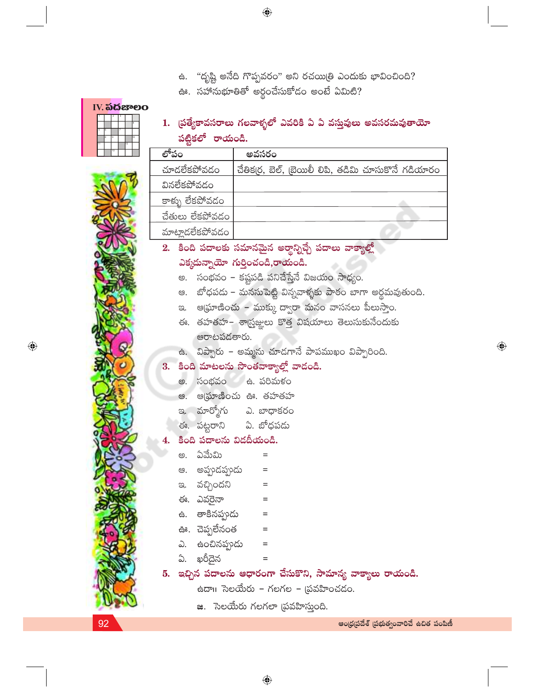- ఉ. "దృష్టి అనేది గొప్పవరం" అని రచయిత్రి ఎందుకు భావించింది?
- ఊ. సహానుభూతితో అర్థంచేసుకోడం అంటే ఏమిటి?

|  | IV. <b>ಎದ</b> ಜಾಲ |   |    |  |
|--|-------------------|---|----|--|
|  |                   |   |    |  |
|  |                   |   |    |  |
|  |                   |   |    |  |
|  |                   |   | ko |  |
|  |                   | ø |    |  |
|  | 13                |   |    |  |

1. ట్రత్యేకావసరాలు గలవాళ్ళలో ఎవరికి ఏ ఏ వస్తువులు అవసరమవుతాయో పట్టికలో రాయండి.

|                         | అవసరం                                               |
|-------------------------|-----------------------------------------------------|
| చూదలేకపోవడం             | చేతిక(ర, బెల్, (బెయిలీ లిపి, తడిమి చూసుకొనే గడియారం |
| వినలేకపోవడం             |                                                     |
| <u>కాళ్ళు లేకపో</u> వడం |                                                     |
| చేతులు లేకపోవడం         |                                                     |
| మాటాదలేకపోవడం           |                                                     |

- 2. కింది పదాలకు సమానమైన అర్థాన్నిచ్చే పదాలు వాక్యాల్లో ఎక్కడున్నాయో గుర్తించండి,రాయండి.
	- అ. సంభవం కష్టపడి పనిచేస్తేనే విజయం సాధ్యం.
	- ఆ. బోధపడు మనసుపెట్టి విన్నవాళ్ళకు పాఠం బాగా అర్థమవుతుంది.
	- ఇ. ఆఘ్రాణించు ముక్కు ద్వారా మనం వాసనలు పీలుస్తాం.
	- ఈ. తహతహ– శాస్ర్టజ్ఞులు కొత్త విషయాలు తెలుసుకునేందుకు ఆరాటపడతారు.
	- ఉ. విప్పారు అమ్మను చూడగానే పాపముఖం విప్పారింది.

### 3. కింది మాటలను సొంతవాక్యాల్లో వాడండి.

- అ. సంభవం ఉ. పరిమళం
- ఆ. ఆ(ఘాణించు ఊ. తహతహ
- ఇ. మార్మోగు ఎ. బాధాకరం
- ఈ. పట్టరాని ఏ. బోధపడు

#### కింది పదాలను విడదీయండి.

- అ. ఏమేమి
- ఆ. అప్పుడప్పుడు  $\equiv$
- ఇ. వచ్చిందని  $\quad \ \ =$
- ఈ. ఎవరైనా
- ఉ. తాకినప్పుడు  $\quad = \quad % \qquad \frac{1}{2} \begin{bmatrix} \frac{1}{2} & \frac{1}{2} \frac{1}{2} & \frac{1}{2} \frac{1}{2} \frac{1}{2} & \frac{1}{2} \frac{1}{2} \frac{1}{2} \frac{1}{2} \frac{1}{2} \frac{1}{2} \frac{1}{2} \frac{1}{2} \frac{1}{2} \frac{1}{2} \frac{1}{2} \frac{1}{2} \frac{1}{2} \frac{1}{2} \frac{1}{2} \frac{1}{2} \frac{1}{2} \frac{1}{2} \frac{1}{2} \frac{1}{2} \frac{1}{2} \frac{1}{2$
- ఊ. చెప్పలేనంత  $=$
- ఎ. ఉంచినప్పుడు  $\quad =$
- ఏ. ఖరీదైన
- 5. ఇచ్చిన పదాలను ఆధారంగా చేసుకొని, సామాన్య వాక్యాలు రాయండి.

ఉదా $\scriptstyle\rm II$  సెలయేరు – గలగల – (పవహించడం.

జ. సెలయేరు గలగలా (పవహిస్తుంది.

 $=$ 

 $=$ 

92

 $\textcolor{black}{\textcolor{black}{\bigcirc}}$ 

ఆంధ్రప్రదేశ్ (పభుత్వంవారిచే ఉచిత పంపిణీ

 $\bigoplus$ 

 $\bigoplus$ 

 $\bigoplus$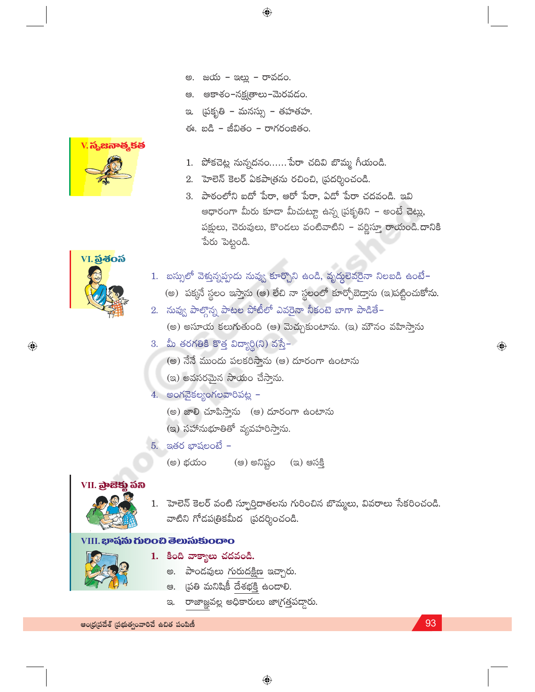- అ. జయ ఇల్లు రావడం.
- అకాశం–నక్షౖత్రాలు–మెరవడం. ఆి.

 $\bigoplus$ 

- ఇ. (పకృతి మనస్సు తహతహ.
- ఈ. బడి జీవితం రాగరంజితం.



- 1. పోకచెట్ల నున్నదనం...... పేరా చదివి బొమ్మ గీయండి.
- 2. హెలెన్ కెలర్ ఏకపాత్రను రచించి, ప్రదర్శించండి.
- 3. పాఠంలోని ఐదో పేరా, ఆరో పేరా, ఏడో పేరా చదవండి. ఇవి ఆధారంగా మీరు కూడా మీచుట్టూ ఉన్న (పకృతిని – అంటే చెట్లు, పక్షులు, చెరువులు, కొండలు వంటివాటిని – వర్ణిస్తూ రాయండి.దానికి పేరు పెట్టండి.



 $\bigoplus$ 

- 1. బస్సులో వెళ్తున్నప్పుడు నువ్వు కూర్చొని ఉండి, వృద్దలెవరైనా నిలబడి ఉంటే-(అ) పక్కనే స్థలం ఇస్తాను (ఆ) లేచి నా స్థలంలో కూర్చోబెద్తాను (ఇ)పట్టించుకోను.
- 2. నువ్వ పాల్గొన్న పాటల పోటీలో ఎవరైనా నీకంటె బాగా పాడితే– (అ) అసూయ కలుగుతుంది (అ) మెచ్చుకుంటాను. (ఇ) మౌనం వహిస్తాను
- 3. మీ తరగతికి కొత్త విద్యార్థి(ని) వస్తే–
	- (అ) నేనే ముందు పలకరిస్తాను (అ) దూరంగా ఉంటాను
	- (ఇ) అవసరమైన సాయం చేస్తాను.
- $4.$  అంగవైకల్యంగలవారిపట్ల -
	- (అ) జాలి చూపిస్తాను (అ) దూరంగా ఉంటాను
	- (ఇ) సహానుభూతితో వ్యవహరిస్తాను.
- $5.$  ఇతర భాషలంటే
	- (ఆ) అనిష్టం (అ) భయం (ఇ) ఆసక్తి

### VII. <mark>බුංසි</mark>ඡු කිහි



1. హెలెన్ కెలర్ వంటి స్ఫూర్తిదాతలను గురించిన బొమ్మలు, వివరాలు సేకరించండి. వాటిని గోడపత్రికమీద (పదర్శించండి.

#### VIII. భాషను గులించి తెలుసుకుందాం



- 1. కింది వాక్యాలు చదవండి.
	- అ. పాండవులు గురుదక్షిణ ఇచ్చారు.
	- ఆ. (పతి మనిషికీ దేశభక్తి ఉందాలి.
	- రాజాజ్ఞవల్ల అధికారులు జాగ్రత్తపద్దారు. ප.

ఆంధ్రప్రదేశ్ (పభుత్వంవారిచే ఉచిత పంపిణీ

93

 $\bigoplus$